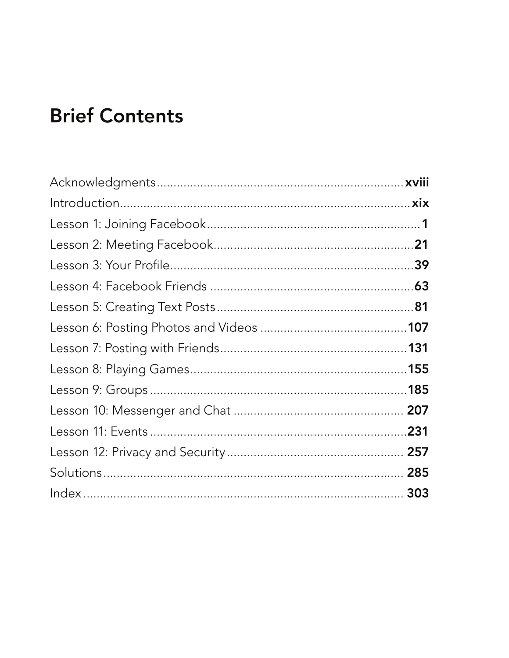## **Brief Contents**

| .231 |
|------|
| 257  |
|      |
|      |
|      |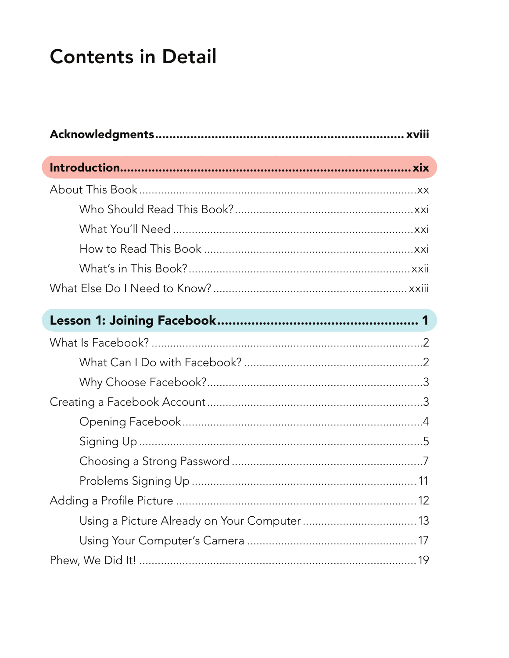## **Contents in Detail**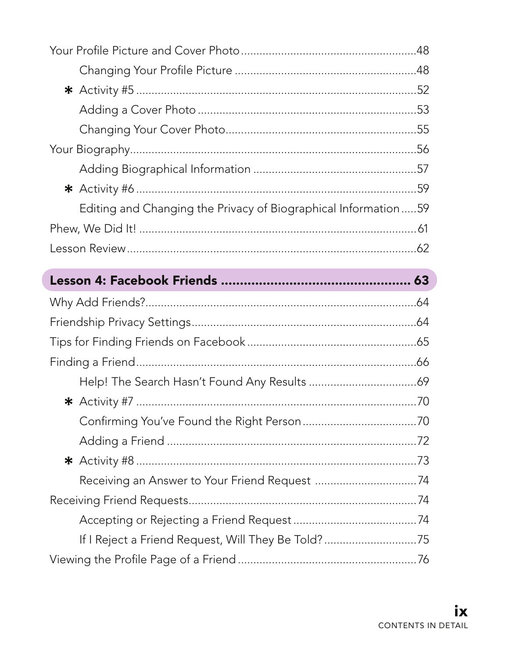| Editing and Changing the Privacy of Biographical Information59 |  |
|----------------------------------------------------------------|--|
|                                                                |  |
|                                                                |  |
|                                                                |  |
|                                                                |  |
|                                                                |  |
|                                                                |  |
|                                                                |  |
|                                                                |  |
|                                                                |  |
|                                                                |  |
|                                                                |  |
|                                                                |  |
|                                                                |  |
|                                                                |  |
|                                                                |  |
| If I Reject a Friend Request, Will They Be Told? 75            |  |
|                                                                |  |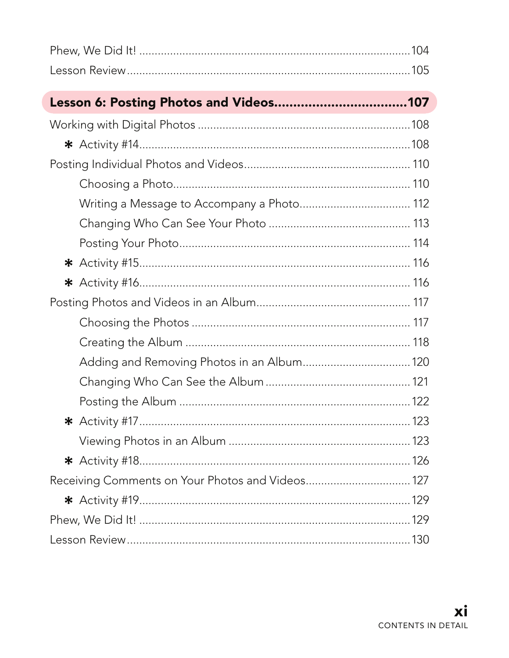| Receiving Comments on Your Photos and Videos 127 |  |
|--------------------------------------------------|--|
|                                                  |  |
|                                                  |  |
|                                                  |  |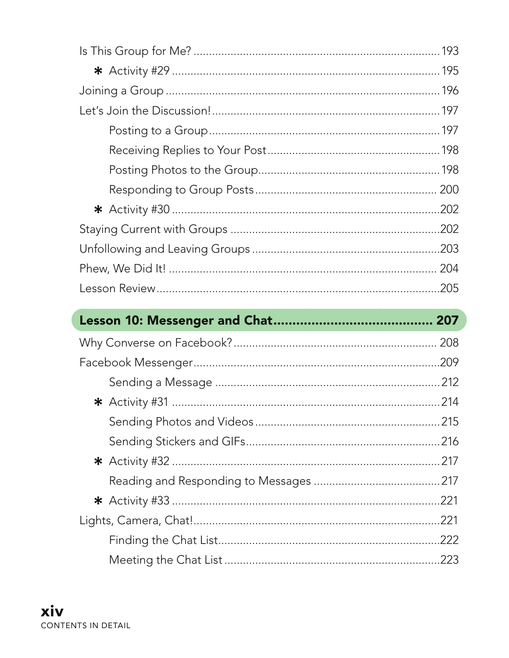| .202 |
|------|
|      |
|      |
|      |

| 208  |
|------|
| .209 |
| .212 |
|      |
|      |
|      |
|      |
|      |
| .221 |
| .221 |
| .222 |
| .223 |